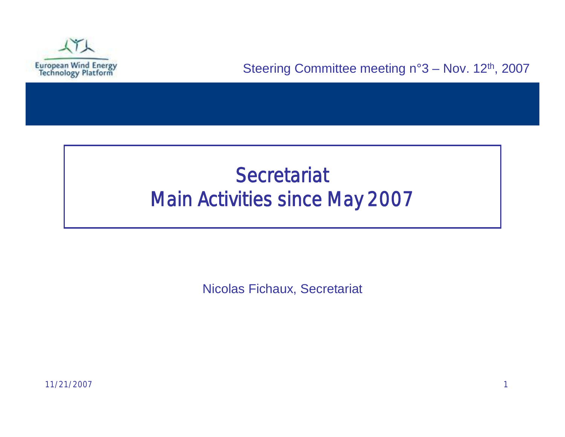

# **Secretariat** Main Activities since May 2007

Nicolas Fichaux, Secretariat

11/21/2007 1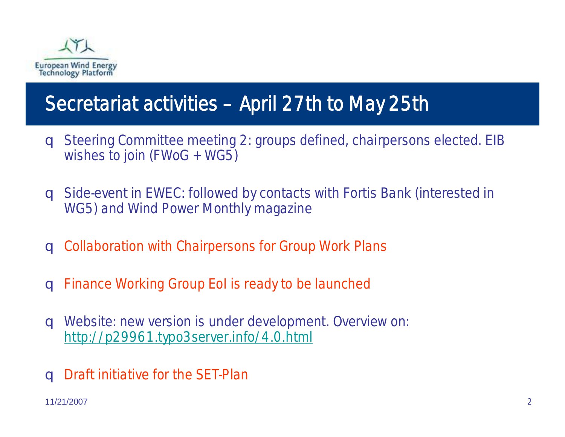

# Secretariat activities –April 27th to May 25th

- q Steering Committee meeting 2: groups defined, chairpersons elected. EIB wishes to join (FWoG + WG5)
- q Side-event in EWEC: followed by contacts with Fortis Bank (interested in WG5) and Wind Power Monthly magazine
- q Collaboration with Chairpersons for Group Work Plans
- q Finance Working Group EoI is ready to be launched
- q Website: new version is under development. Overview on: <http://p29961.typo3server.info/4.0.html>
- q Draft initiative for the SET-Plan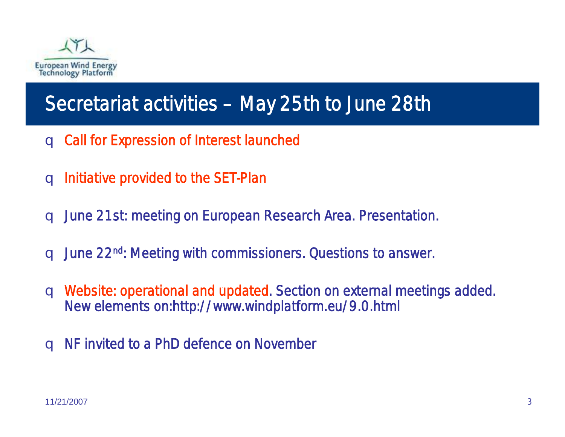

## Secretariat activities – May 25th to June 28th

- q Call for Expression of Interest launched
- q Initiative provided to the SET-Plan
- q June 21st: meeting on European Research Area. Presentation.
- q June 22nd: Meeting with commissioners. Questions to answer.
- q Website: operational and updated. Section on external meetings added. New elements on:http://www.windplatform.eu/9.0.html
- q NF invited to a PhD defence on November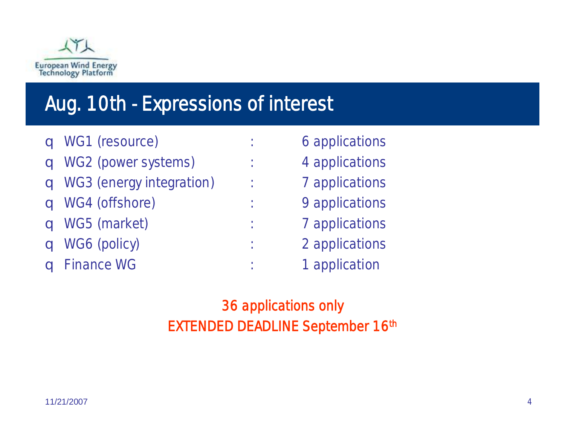

### Aug. 10th - Expressions of interest

q WG1 (resource) : 6 applications q WG2 (power systems) : 4 applications q WG3 (energy integration) : 7 applications q WG4 (offshore) : 9 applications q WG5 (market) : 7 applications q WG6 (policy) : 2 applications q Finance WG  $\qquad \qquad$ : 1 application

> 36 applications only EXTENDED DEADLINE September 16th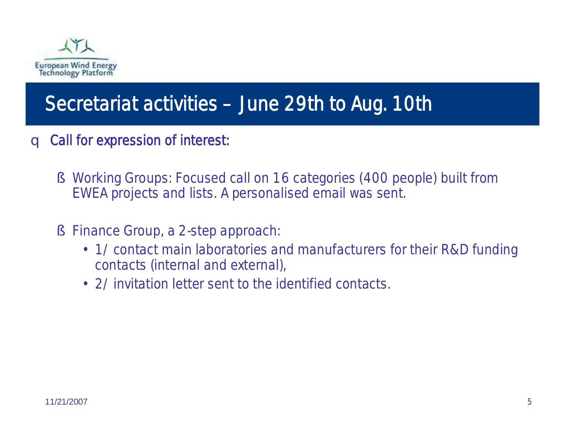

### Secretariat activities –June 29th to Aug. 10th

- q Call for expression of interest:
	- § Working Groups: Focused call on 16 categories (400 people) built from EWEA projects and lists. A personalised email was sent.
	- § Finance Group, a 2-step approach:
		- •1/ contact main laboratories and manufacturers for their R&D funding contacts (internal and external),
		- 2/ invitation letter sent to the identified contacts.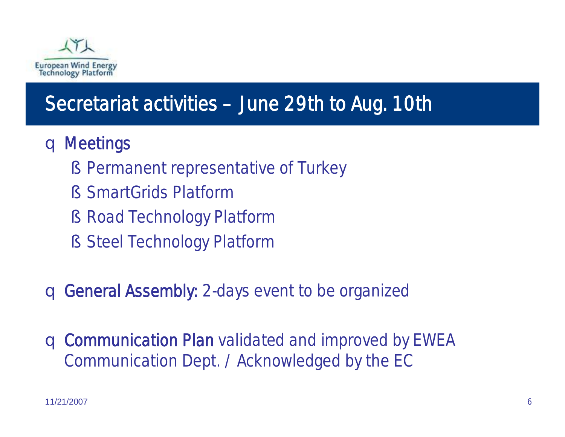

## Secretariat activities –June 29th to Aug. 10th

#### q Meetings

- § Permanent representative of Turkey
- § SmartGrids Platform
- § Road Technology Platform
- § Steel Technology Platform

q General Assembly: 2-days event to be organized

q Communication Plan validated and improved by EWEA Communication Dept. / Acknowledged by the EC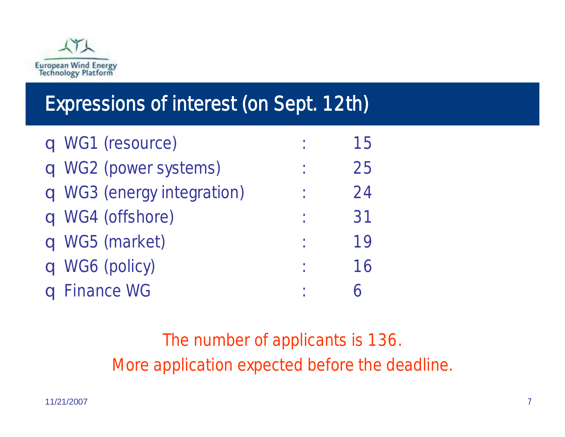

## Expressions of interest (on Sept. 12th)

| q WG1 (resource)           | 1 <sub>b</sub> |
|----------------------------|----------------|
| q WG2 (power systems)      | 25             |
| q WG3 (energy integration) | 24             |
| q WG4 (offshore)           | 31             |
| q WG5 (market)             | 19             |
| q WG6 (policy)             | 16             |
| <b>q</b> Finance WG        |                |

The number of applicants is 136. More application expected before the deadline.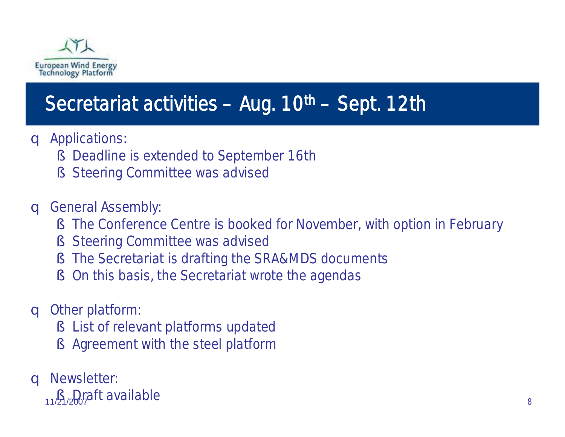

## Secretariat activities - Aug. 10th - Sept. 12th

- q Applications:
	- § Deadline is extended to September 16th
	- § Steering Committee was advised
- q General Assembly:
	- § The Conference Centre is booked for November, with option in February
	- § Steering Committee was advised
	- § The Secretariat is drafting the SRA&MDS documents
	- § On this basis, the Secretariat wrote the agendas
- q Other platform:
	- § List of relevant platforms updated
	- § Agreement with the steel platform
- q Newsletter:
	- 11/2<sub>1/2</sub>D<sub>0</sub> part available and the set of the set of the set of the set of the set of the set of the set of the set of the set of the set of the set of the set of the set of the set of the set of the set of the set of th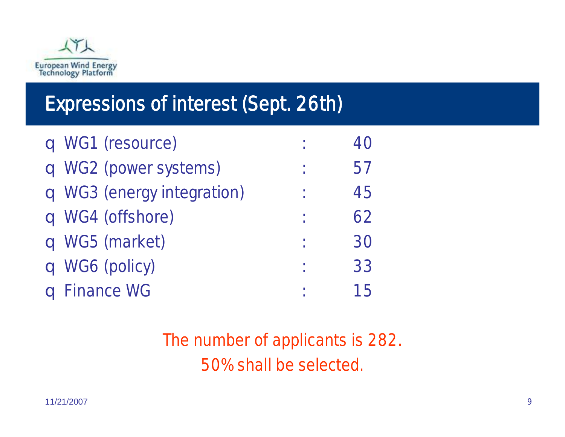

## Expressions of interest (Sept. 26th)

| q WG1 (resource)           |    |
|----------------------------|----|
| q WG2 (power systems)      | 5/ |
| q WG3 (energy integration) | 45 |
| q WG4 (offshore)           | 62 |
| q WG5 (market)             | 30 |
| q WG6 (policy)             | 33 |
| <b>q</b> Finance WG        | 15 |

The number of applicants is 282. 50% shall be selected.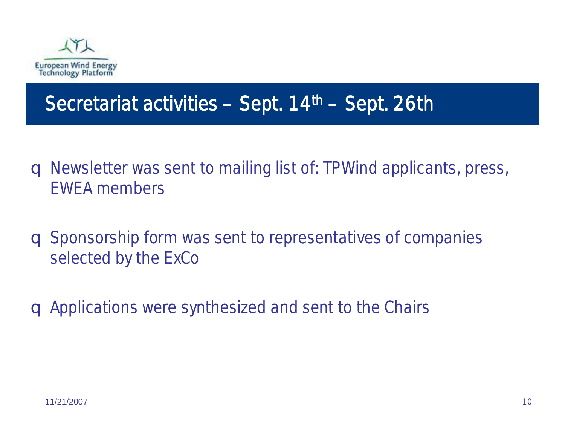

#### Secretariat activities - Sept. 14th - Sept. 26th

- q Newsletter was sent to mailing list of: TPWind applicants, press, EWEA members
- q Sponsorship form was sent to representatives of companies selected by the ExCo
- q Applications were synthesized and sent to the Chairs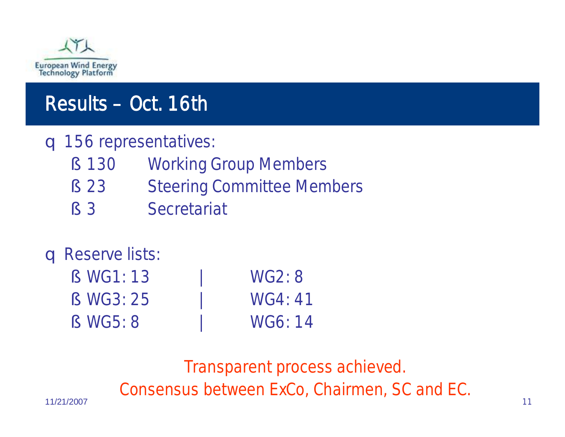

## Results –Oct. 16th

#### q 156 representatives:

- § 130 Working Group Members
- § 23 Steering Committee Members
- § 3 Secretariat

#### q Reserve lists:

§ WG1: 13 | WG2: 8 § WG3: 25 | WG4: 41 § WG5: 8 | WG6: 14

11/21/2007 11 Transparent process achieved. Consensus between ExCo, Chairmen, SC and EC.